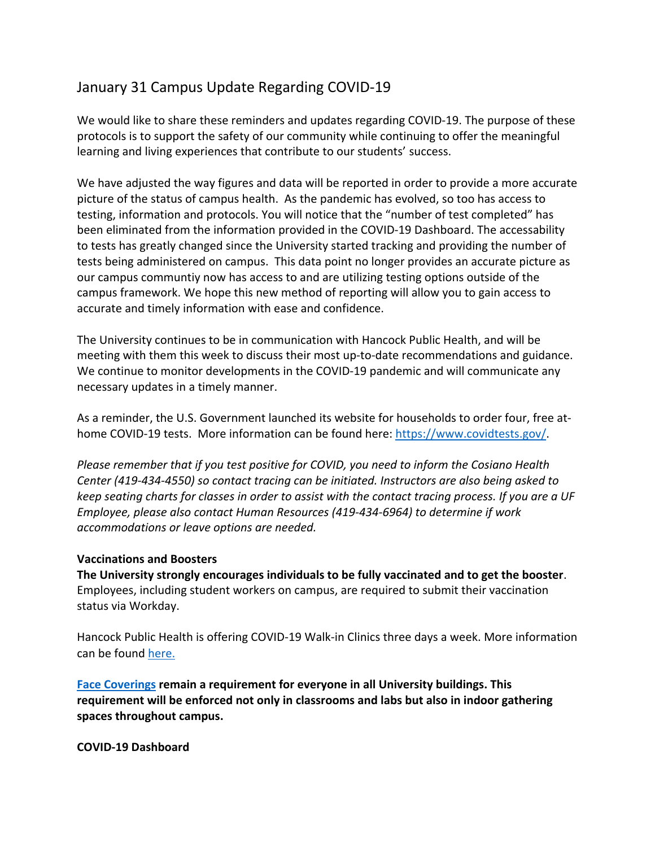## January 31 Campus Update Regarding COVID-19

We would like to share these reminders and updates regarding COVID-19. The purpose of these protocols is to support the safety of our community while continuing to offer the meaningful learning and living experiences that contribute to our students' success.

We have adjusted the way figures and data will be reported in order to provide a more accurate picture of the status of campus health. As the pandemic has evolved, so too has access to testing, information and protocols. You will notice that the "number of test completed" has been eliminated from the information provided in the COVID-19 Dashboard. The accessability to tests has greatly changed since the University started tracking and providing the number of tests being administered on campus. This data point no longer provides an accurate picture as our campus communtiy now has access to and are utilizing testing options outside of the campus framework. We hope this new method of reporting will allow you to gain access to accurate and timely information with ease and confidence.

The University continues to be in communication with Hancock Public Health, and will be meeting with them this week to discuss their most up-to-date recommendations and guidance. We continue to monitor developments in the COVID-19 pandemic and will communicate any necessary updates in a timely manner.

As a reminder, the U.S. Government launched its website for households to order four, free athome COVID-19 tests. More information can be found here: https://www.covidtests.gov/.

*Please remember that if you test positive for COVID, you need to inform the Cosiano Health Center (419-434-4550) so contact tracing can be initiated. Instructors are also being asked to keep seating charts for classes in order to assist with the contact tracing process. If you are a UF Employee, please also contact Human Resources (419-434-6964) to determine if work accommodations or leave options are needed.*

## **Vaccinations and Boosters**

**The University strongly encourages individuals to be fully vaccinated and to get the booster**. Employees, including student workers on campus, are required to submit their vaccination status via Workday.

Hancock Public Health is offering COVID-19 Walk-in Clinics three days a week. More information can be found here.

**Face Coverings remain a requirement for everyone in all University buildings. This requirement will be enforced not only in classrooms and labs but also in indoor gathering spaces throughout campus.**

**COVID-19 Dashboard**